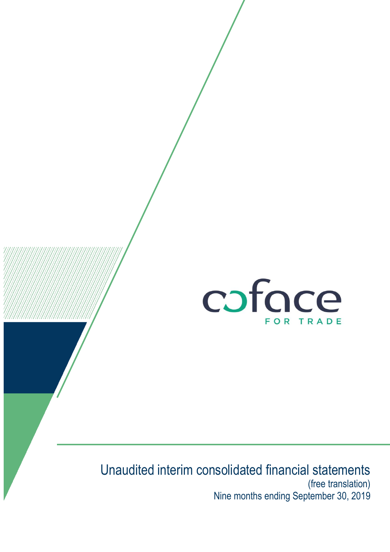

# Unaudited interim consolidated financial statements (free translation) Nine months ending September 30, 2019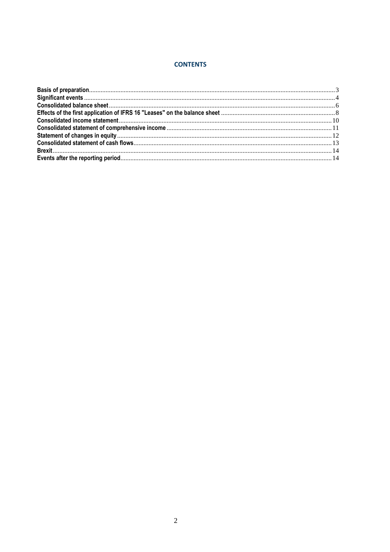### **CONTENTS**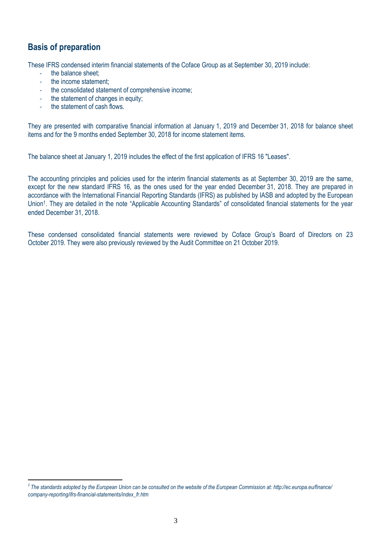### <span id="page-2-0"></span>**Basis of preparation**

 $\overline{a}$ 

These IFRS condensed interim financial statements of the Coface Group as at September 30, 2019 include:

- the balance sheet:
- the income statement:
- the consolidated statement of comprehensive income;
- the statement of changes in equity;
- the statement of cash flows.

They are presented with comparative financial information at January 1, 2019 and December 31, 2018 for balance sheet items and for the 9 months ended September 30, 2018 for income statement items.

The balance sheet at January 1, 2019 includes the effect of the first application of IFRS 16 "Leases".

The accounting principles and policies used for the interim financial statements as at September 30, 2019 are the same, except for the new standard IFRS 16, as the ones used for the year ended December 31, 2018. They are prepared in accordance with the International Financial Reporting Standards (IFRS) as published by IASB and adopted by the European Union<sup>1</sup>. They are detailed in the note "Applicable Accounting Standards" of consolidated financial statements for the year ended December 31, 2018.

These condensed consolidated financial statements were reviewed by Coface Group's Board of Directors on 23 October 2019. They were also previously reviewed by the Audit Committee on 21 October 2019.

*<sup>1</sup> The standards adopted by the European Union can be consulted on the website of the European Commission at: http://ec.europa.eu/finance/ company-reporting/ifrs-financial-statements/index\_fr.htm*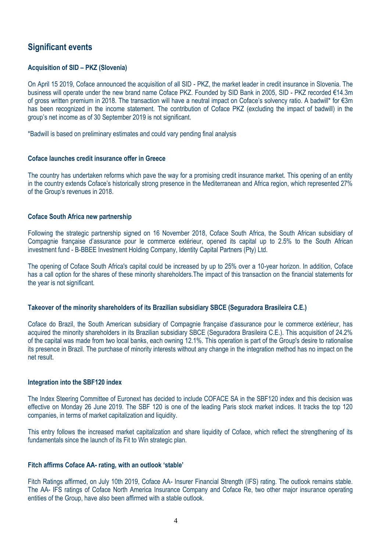### <span id="page-3-0"></span>**Significant events**

### **Acquisition of SID – PKZ (Slovenia)**

On April 15 2019, Coface announced the acquisition of all SID - PKZ, the market leader in credit insurance in Slovenia. The business will operate under the new brand name Coface PKZ. Founded by SID Bank in 2005, SID - PKZ recorded €14.3m of gross written premium in 2018. The transaction will have a neutral impact on Coface's solvency ratio. A badwill\* for €3m has been recognized in the income statement. The contribution of Coface PKZ (excluding the impact of badwill) in the group's net income as of 30 September 2019 is not significant.

\*Badwill is based on preliminary estimates and could vary pending final analysis

#### **Coface launches credit insurance offer in Greece**

The country has undertaken reforms which pave the way for a promising credit insurance market. This opening of an entity in the country extends Coface's historically strong presence in the Mediterranean and Africa region, which represented 27% of the Group's revenues in 2018.

#### **Coface South Africa new partnership**

Following the strategic partnership signed on 16 November 2018, Coface South Africa, the South African subsidiary of Compagnie française d'assurance pour le commerce extérieur, opened its capital up to 2.5% to the South African investment fund - B-BBEE Investment Holding Company, Identity Capital Partners (Pty) Ltd.

The opening of Coface South Africa's capital could be increased by up to 25% over a 10-year horizon. In addition, Coface has a call option for the shares of these minority shareholders.The impact of this transaction on the financial statements for the year is not significant.

#### **Takeover of the minority shareholders of its Brazilian subsidiary SBCE (Seguradora Brasileira C.E.)**

Coface do Brazil, the South American subsidiary of Compagnie française d'assurance pour le commerce extérieur, has acquired the minority shareholders in its Brazilian subsidiary SBCE (Seguradora Brasileira C.E.). This acquisition of 24.2% of the capital was made from two local banks, each owning 12.1%. This operation is part of the Group's desire to rationalise its presence in Brazil. The purchase of minority interests without any change in the integration method has no impact on the net result.

#### **Integration into the SBF120 index**

The Index Steering Committee of Euronext has decided to include COFACE SA in the SBF120 index and this decision was effective on Monday 26 June 2019. The SBF 120 is one of the leading Paris stock market indices. It tracks the top 120 companies, in terms of market capitalization and liquidity.

This entry follows the increased market capitalization and share liquidity of Coface, which reflect the strengthening of its fundamentals since the launch of its Fit to Win strategic plan.

### **Fitch affirms Coface AA- rating, with an outlook 'stable'**

Fitch Ratings affirmed, on July 10th 2019, Coface AA- Insurer Financial Strength (IFS) rating. The outlook remains stable. The AA- IFS ratings of Coface North America Insurance Company and Coface Re, two other major insurance operating entities of the Group, have also been affirmed with a stable outlook.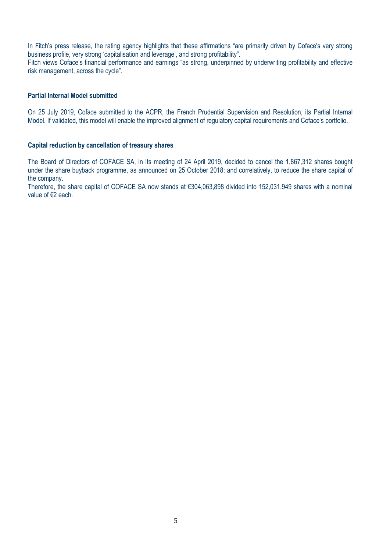In Fitch's press release, the rating agency highlights that these affirmations "are primarily driven by Coface's very strong business profile, very strong 'capitalisation and leverage', and strong profitability".

Fitch views Coface's financial performance and earnings "as strong, underpinned by underwriting profitability and effective risk management, across the cycle".

#### **Partial Internal Model submitted**

On 25 July 2019, Coface submitted to the ACPR, the French Prudential Supervision and Resolution, its Partial Internal Model. If validated, this model will enable the improved alignment of regulatory capital requirements and Coface's portfolio.

#### **Capital reduction by cancellation of treasury shares**

The Board of Directors of COFACE SA, in its meeting of 24 April 2019, decided to cancel the 1,867,312 shares bought under the share buyback programme, as announced on 25 October 2018; and correlatively, to reduce the share capital of the company.

Therefore, the share capital of COFACE SA now stands at €304,063,898 divided into 152,031,949 shares with a nominal value of €2 each.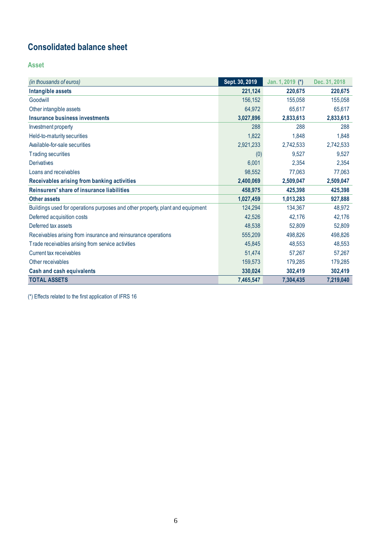## <span id="page-5-0"></span>**Consolidated balance sheet**

**Asset**

| (in thousands of euros)                                                        | Sept. 30, 2019 | Jan. 1, 2019 (*) | Dec. 31, 2018 |
|--------------------------------------------------------------------------------|----------------|------------------|---------------|
| Intangible assets                                                              | 221,124        | 220,675          | 220,675       |
| Goodwill                                                                       | 156,152        | 155,058          | 155,058       |
| Other intangible assets                                                        | 64,972         | 65,617           | 65,617        |
| Insurance business investments                                                 | 3,027,896      | 2,833,613        | 2,833,613     |
| Investment property                                                            | 288            | 288              | 288           |
| Held-to-maturity securities                                                    | 1,822          | 1,848            | 1,848         |
| Available-for-sale securities                                                  | 2,921,233      | 2,742,533        | 2,742,533     |
| <b>Trading securities</b>                                                      | (0)            | 9,527            | 9,527         |
| Derivatives                                                                    | 6,001          | 2,354            | 2,354         |
| Loans and receivables                                                          | 98,552         | 77.063           | 77,063        |
| Receivables arising from banking activities                                    | 2,400,069      | 2,509,047        | 2,509,047     |
| Reinsurers' share of insurance liabilities                                     | 458,975        | 425,398          | 425,398       |
| <b>Other assets</b>                                                            | 1,027,459      | 1,013,283        | 927,888       |
| Buildings used for operations purposes and other property, plant and equipment | 124,294        | 134,367          | 48,972        |
| Deferred acquisition costs                                                     | 42,526         | 42,176           | 42,176        |
| Deferred tax assets                                                            | 48,538         | 52,809           | 52,809        |
| Receivables arising from insurance and reinsurance operations                  | 555,209        | 498.826          | 498,826       |
| Trade receivables arising from service activities                              | 45,845         | 48,553           | 48,553        |
| Current tax receivables                                                        | 51,474         | 57,267           | 57,267        |
| Other receivables                                                              | 159,573        | 179,285          | 179,285       |
| <b>Cash and cash equivalents</b>                                               | 330,024        | 302,419          | 302,419       |
| <b>TOTAL ASSETS</b>                                                            | 7,465,547      | 7,304,435        | 7,219,040     |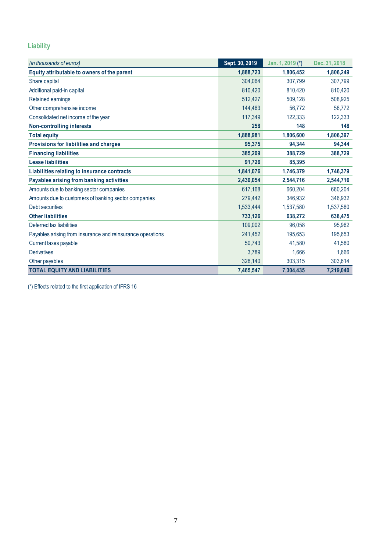### **Liability**

| (in thousands of euros)                                    | Sept. 30, 2019 | Jan. 1, 2019 (*) | Dec. 31, 2018 |
|------------------------------------------------------------|----------------|------------------|---------------|
| Equity attributable to owners of the parent                | 1,888,723      | 1,806,452        | 1,806,249     |
| Share capital                                              | 304,064        | 307,799          | 307,799       |
| Additional paid-in capital                                 | 810,420        | 810,420          | 810,420       |
| Retained earnings                                          | 512,427        | 509,128          | 508,925       |
| Other comprehensive income                                 | 144,463        | 56,772           | 56,772        |
| Consolidated net income of the year                        | 117,349        | 122,333          | 122,333       |
| <b>Non-controlling interests</b>                           | 258            | 148              | 148           |
| <b>Total equity</b>                                        | 1,888,981      | 1,806,600        | 1,806,397     |
| Provisions for liabilities and charges                     | 95,375         | 94,344           | 94,344        |
| <b>Financing liabilities</b>                               | 385,209        | 388,729          | 388,729       |
| <b>Lease liabilities</b>                                   | 91,726         | 85,395           |               |
| Liabilities relating to insurance contracts                | 1,841,076      | 1,746,379        | 1,746,379     |
| Payables arising from banking activities                   | 2,430,054      | 2,544,716        | 2,544,716     |
| Amounts due to banking sector companies                    | 617,168        | 660,204          | 660,204       |
| Amounts due to customers of banking sector companies       | 279,442        | 346,932          | 346,932       |
| Debt securities                                            | 1,533,444      | 1,537,580        | 1,537,580     |
| <b>Other liabilities</b>                                   | 733,126        | 638,272          | 638,475       |
| Deferred tax liabilities                                   | 109,002        | 96,058           | 95,962        |
| Payables arising from insurance and reinsurance operations | 241,452        | 195,653          | 195,653       |
| Current taxes payable                                      | 50,743         | 41,580           | 41,580        |
| <b>Derivatives</b>                                         | 3,789          | 1,666            | 1,666         |
| Other payables                                             | 328,140        | 303.315          | 303,614       |
| <b>TOTAL EQUITY AND LIABILITIES</b>                        | 7,465,547      | 7,304,435        | 7,219,040     |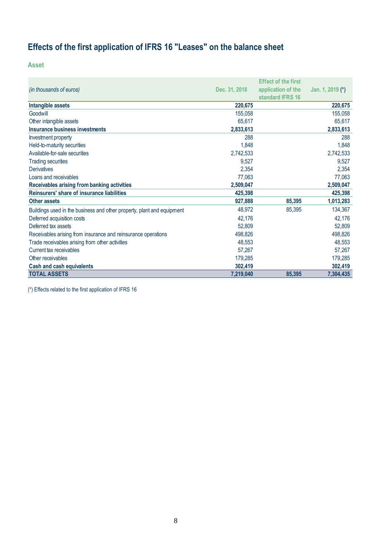# <span id="page-7-0"></span>**Effects of the first application of IFRS 16 "Leases" on the balance sheet**

**Asset**

|                                                                        |               | <b>Effect of the first</b> |                  |
|------------------------------------------------------------------------|---------------|----------------------------|------------------|
| (in thousands of euros)                                                | Dec. 31, 2018 | application of the         | Jan. 1, 2019 (*) |
|                                                                        |               | standard IFRS 16           |                  |
| Intangible assets                                                      | 220,675       |                            | 220,675          |
| Goodwill                                                               | 155,058       |                            | 155,058          |
| Other intangible assets                                                | 65,617        |                            | 65,617           |
| Insurance business investments                                         | 2,833,613     |                            | 2,833,613        |
| Investment property                                                    | 288           |                            | 288              |
| Held-to-maturity securities                                            | 1,848         |                            | 1,848            |
| Available-for-sale securities                                          | 2,742,533     |                            | 2,742,533        |
| <b>Trading securities</b>                                              | 9,527         |                            | 9,527            |
| <b>Derivatives</b>                                                     | 2,354         |                            | 2,354            |
| Loans and receivables                                                  | 77,063        |                            | 77,063           |
| Receivables arising from banking activities                            | 2,509,047     |                            | 2,509,047        |
| Reinsurers' share of insurance liabilities                             | 425,398       |                            | 425,398          |
| <b>Other assets</b>                                                    | 927,888       | 85,395                     | 1,013,283        |
| Buildings used in the business and other property, plant and equipment | 48,972        | 85,395                     | 134,367          |
| Deferred acquisition costs                                             | 42,176        |                            | 42,176           |
| Deferred tax assets                                                    | 52,809        |                            | 52,809           |
| Receivables arising from insurance and reinsurance operations          | 498,826       |                            | 498,826          |
| Trade receivables arising from other activities                        | 48,553        |                            | 48,553           |
| Current tax receivables                                                | 57,267        |                            | 57,267           |
| Other receivables                                                      | 179,285       |                            | 179,285          |
| <b>Cash and cash equivalents</b>                                       | 302,419       |                            | 302,419          |
| <b>TOTAL ASSETS</b>                                                    | 7,219,040     | 85,395                     | 7,304,435        |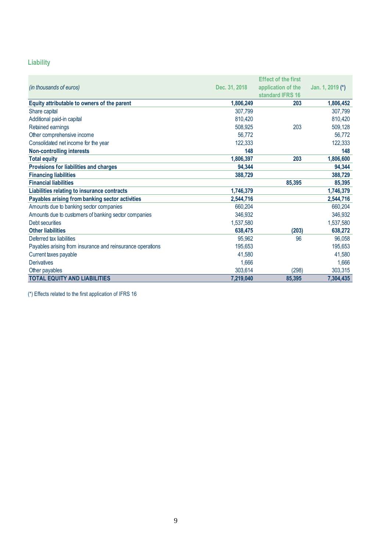### **Liability**

|                                                            |               | <b>Effect of the first</b> |                  |
|------------------------------------------------------------|---------------|----------------------------|------------------|
| (in thousands of euros)                                    | Dec. 31, 2018 | application of the         | Jan. 1, 2019 (*) |
|                                                            |               | standard IFRS 16           |                  |
| Equity attributable to owners of the parent                | 1,806,249     | 203                        | 1,806,452        |
| Share capital                                              | 307,799       |                            | 307,799          |
| Additional paid-in capital                                 | 810,420       |                            | 810,420          |
| Retained earnings                                          | 508,925       | 203                        | 509,128          |
| Other comprehensive income                                 | 56,772        |                            | 56,772           |
| Consolidated net income for the year                       | 122.333       |                            | 122,333          |
| <b>Non-controlling interests</b>                           | 148           |                            | 148              |
| <b>Total equity</b>                                        | 1,806,397     | 203                        | 1,806,600        |
| Provisions for liabilities and charges                     | 94,344        |                            | 94,344           |
| <b>Financing liabilities</b>                               | 388,729       |                            | 388,729          |
| <b>Financial liabilities</b>                               |               | 85,395                     | 85,395           |
| Liabilities relating to insurance contracts                | 1,746,379     |                            | 1,746,379        |
| Payables arising from banking sector activities            | 2,544,716     |                            | 2,544,716        |
| Amounts due to banking sector companies                    | 660,204       |                            | 660,204          |
| Amounts due to customers of banking sector companies       | 346,932       |                            | 346,932          |
| Debt securities                                            | 1,537,580     |                            | 1,537,580        |
| <b>Other liabilities</b>                                   | 638.475       | (203)                      | 638,272          |
| Deferred tax liabilities                                   | 95,962        | 96                         | 96,058           |
| Payables arising from insurance and reinsurance operations | 195,653       |                            | 195,653          |
| Current taxes payable                                      | 41,580        |                            | 41,580           |
| <b>Derivatives</b>                                         | 1,666         |                            | 1,666            |
| Other payables                                             | 303,614       | (298)                      | 303,315          |
| <b>TOTAL EQUITY AND LIABILITIES</b>                        | 7,219,040     | 85,395                     | 7,304,435        |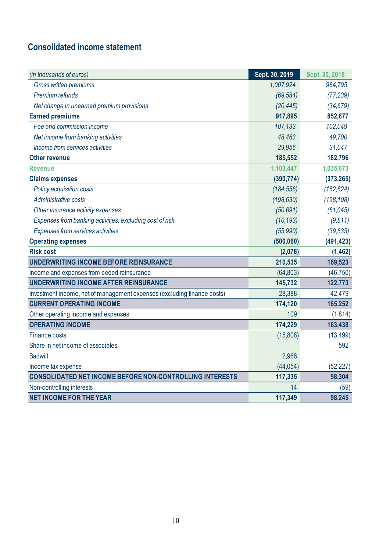## <span id="page-9-0"></span>**Consolidated income statement**

| (in thousands of euros)                                                 | Sept. 30, 2019 | Sept. 30, 2018 |
|-------------------------------------------------------------------------|----------------|----------------|
| Gross written premiums                                                  | 1,007,924      | 964,795        |
| Premium refunds                                                         | (69, 584)      | (77, 239)      |
| Net change in unearned premium provisions                               | (20, 445)      | (34, 679)      |
| <b>Earned premiums</b>                                                  | 917,895        | 852,877        |
| Fee and commission income                                               | 107,133        | 102,049        |
| Net income from banking activities                                      | 48,463         | 49,700         |
| Income from services activities                                         | 29,956         | 31,047         |
| <b>Other revenue</b>                                                    | 185,552        | 182,796        |
| <b>Revenue</b>                                                          | 1,103,447      | 1,035,673      |
| <b>Claims expenses</b>                                                  | (390, 774)     | (373, 265)     |
| Policy acquisition costs                                                | (184, 556)     | (182, 624)     |
| Administrative costs                                                    | (198, 630)     | (198, 108)     |
| Other insurance activity expenses                                       | (50, 691)      | (61, 045)      |
| Expenses from banking activities, excluding cost of risk                | (10, 193)      | (9,811)        |
| Expenses from services activities                                       | (55,990)       | (39, 835)      |
| <b>Operating expenses</b>                                               | (500, 060)     | (491, 423)     |
| <b>Risk cost</b>                                                        | (2,078)        | (1,462)        |
| UNDERWRITING INCOME BEFORE REINSURANCE                                  | 210,535        | 169,523        |
| Income and expenses from ceded reinsurance                              | (64, 803)      | (46, 750)      |
| UNDERWRITING INCOME AFTER REINSURANCE                                   | 145,732        | 122,773        |
| Investment income, net of management expenses (excluding finance costs) | 28,388         | 42,479         |
| <b>CURRENT OPERATING INCOME</b>                                         | 174,120        | 165,252        |
| Other operating income and expenses                                     | 109            | (1, 814)       |
| <b>OPERATING INCOME</b>                                                 | 174,229        | 163,438        |
| <b>Finance costs</b>                                                    | (15,808)       | (13, 499)      |
| Share in net income of associates                                       |                | 592            |
| <b>Badwill</b>                                                          | 2,968          |                |
| Income tax expense                                                      | (44, 054)      | (52, 227)      |
| <b>CONSOLIDATED NET INCOME BEFORE NON-CONTROLLING INTERESTS</b>         | 117,335        | 98,304         |
| Non-controlling interests                                               | 14             | (59)           |
| <b>NET INCOME FOR THE YEAR</b>                                          | 117,349        | 98,245         |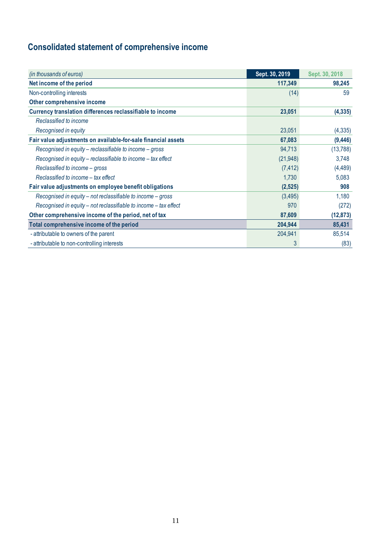# <span id="page-10-0"></span>**Consolidated statement of comprehensive income**

| (in thousands of euros)                                          | Sept. 30, 2019 | Sept. 30, 2018 |
|------------------------------------------------------------------|----------------|----------------|
| Net income of the period                                         | 117,349        | 98,245         |
| Non-controlling interests                                        | (14)           | 59             |
| Other comprehensive income                                       |                |                |
| Currency translation differences reclassifiable to income        | 23,051         | (4, 335)       |
| Reclassified to income                                           |                |                |
| Recognised in equity                                             | 23,051         | (4, 335)       |
| Fair value adjustments on available-for-sale financial assets    | 67,083         | (9,446)        |
| Recognised in equity – reclassifiable to income – gross          | 94,713         | (13, 788)      |
| Recognised in equity – reclassifiable to income – tax effect     | (21, 948)      | 3,748          |
| Reclassified to income - gross                                   | (7, 412)       | (4, 489)       |
| Reclassified to income - tax effect                              | 1,730          | 5,083          |
| Fair value adjustments on employee benefit obligations           | (2,525)        | 908            |
| Recognised in equity – not reclassifiable to income – gross      | (3,495)        | 1,180          |
| Recognised in equity – not reclassifiable to income – tax effect | 970            | (272)          |
| Other comprehensive income of the period, net of tax             | 87,609         | (12, 873)      |
| Total comprehensive income of the period                         | 204,944        | 85,431         |
| - attributable to owners of the parent                           | 204,941        | 85,514         |
| - attributable to non-controlling interests                      | 3              | (83)           |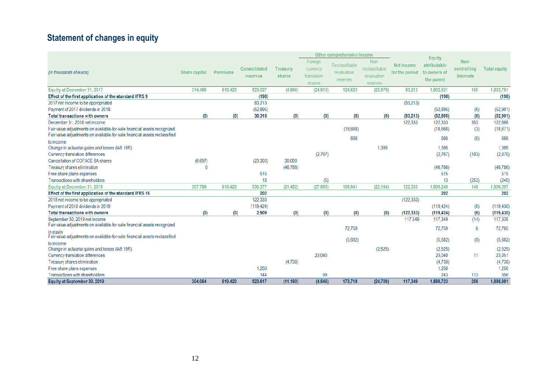# **Statement of changes in equity**

<span id="page-11-0"></span>

|                                                                                         |               |          |                          |                           | Other comprehensive income                    |                                           |                                                   |                              |                                                             |                                  |                     |
|-----------------------------------------------------------------------------------------|---------------|----------|--------------------------|---------------------------|-----------------------------------------------|-------------------------------------------|---------------------------------------------------|------------------------------|-------------------------------------------------------------|----------------------------------|---------------------|
| (in thousands of euros)                                                                 | Share capital | Premiums | Consolidated<br>reserves | <b>Treasury</b><br>shares | Foreign<br>currency<br>translation<br>reserve | Reclassifiable<br>revaluation<br>reserves | Non-<br>reclassifiable<br>revaluation<br>reserves | Net income<br>for the period | <b>Equity</b><br>attributable<br>to owners of<br>the parent | Non-<br>controlling<br>interests | <b>Total equity</b> |
| Equity at December 31, 2017                                                             | 314,496       | 810,420  | 523.027                  | (4,666)                   | (24.913)                                      | 124.623                                   | (23.579)                                          | 83.213                       | 1.802.621                                                   | 160                              | 1.802.781           |
| Effect of the first application of the standard IFRS 9                                  |               |          | (198)                    |                           |                                               |                                           |                                                   |                              | (198)                                                       |                                  | (198)               |
| 2017 net income to be appropriated                                                      |               |          | 83,213                   |                           |                                               |                                           |                                                   | (83, 213)                    |                                                             |                                  |                     |
| Payment of 2017 dividends in 2018                                                       |               |          | (52,895)                 |                           |                                               |                                           |                                                   |                              | (52,895)                                                    | (6)                              | (52, 901)           |
| <b>Total transactions with owners</b>                                                   | (0)           | (0)      | 30,318                   | (0)                       | (0)                                           | (0)                                       | (0)                                               | (83, 213)                    | (52, 895)                                                   | (6)                              | (52, 901)           |
| December 31, 2018 net income                                                            |               |          |                          |                           |                                               |                                           |                                                   | 122,333                      | 122,333                                                     | 353                              | 122,686             |
| Fair value adjustments on available-for-sale financial assets recognized                |               |          |                          |                           |                                               | (18,668)                                  |                                                   |                              | (18,668)                                                    | (3)                              | (18, 671)           |
| Fair value adjustments on available-for-sale financial assets reclassified              |               |          |                          |                           |                                               | 686                                       |                                                   |                              | 686                                                         | (0)                              | 686                 |
| to income                                                                               |               |          |                          |                           |                                               |                                           |                                                   |                              |                                                             |                                  |                     |
| Change in actuarial gains and losses (IAS 19R)                                          |               |          |                          |                           |                                               |                                           | 1.395                                             |                              | 1.395                                                       |                                  | 1.395               |
| Currency translation differences                                                        |               |          |                          |                           | (2,767)                                       |                                           |                                                   |                              | (2,767)                                                     | (103)                            | (2,870)             |
| Cancellation of COFACE SA shares                                                        | (6,697)       |          | (23, 303)                | 30,000                    |                                               |                                           |                                                   |                              |                                                             |                                  |                     |
| Treasury shares elimination                                                             | $\Omega$      |          |                          | (46, 786)                 |                                               |                                           |                                                   |                              | (46, 786)                                                   |                                  | (46, 786)           |
| Free share plans expenses                                                               |               |          | 515                      |                           |                                               |                                           |                                                   |                              | 515                                                         |                                  | 515                 |
| Transactions with shareholders                                                          |               |          | 18                       |                           | (5)                                           |                                           |                                                   |                              | 13                                                          | (253)                            | (240)               |
| Equity at December 31, 2018                                                             | 307.799       | 810,420  | 530,377                  | (21.452)                  | (27, 685)                                     | 106,641                                   | (22.184)                                          | 122.333                      | 1,806,249                                                   | 148                              | 1,806,397           |
| Effect of the first application of the standard IFRS 16                                 |               |          | 202                      |                           |                                               |                                           |                                                   |                              | 202                                                         |                                  | 202                 |
| 2018 net income to be appropriated                                                      |               |          | 122.333                  |                           |                                               |                                           |                                                   | (122, 333)                   |                                                             |                                  |                     |
| Payment of 2018 dividends in 2019                                                       |               |          | (119.424)                |                           |                                               |                                           |                                                   |                              | (119, 424)                                                  | (6)                              | (119, 430)          |
| <b>Total transactions with owners</b>                                                   | (0)           | (0)      | 2,909                    | (0)                       | (0)                                           | (0)                                       | (0)                                               | (122, 333)                   | (119, 424)                                                  | (6)                              | (119, 430)          |
| September 30, 2019 net income                                                           |               |          |                          |                           |                                               |                                           |                                                   | 117 349                      | 117,349                                                     | (14)                             | 117,335             |
| Fair value adjustments on available-for-sale financial assets recognized                |               |          |                          |                           |                                               | 72.759                                    |                                                   |                              | 72.759                                                      | 6                                | 72.765              |
| in equity<br>Fair value adjustments on available-for-sale financial assets reclassified |               |          |                          |                           |                                               | (5,682)                                   |                                                   |                              | (5,682)                                                     | (0)                              | (5,682)             |
| to income                                                                               |               |          |                          |                           |                                               |                                           |                                                   |                              |                                                             |                                  |                     |
| Change in actuarial gains and losses (IAS 19R)                                          |               |          |                          |                           |                                               |                                           | (2,525)                                           |                              | (2,525)                                                     |                                  | (2,525)             |
| Currency translation differences                                                        |               |          |                          |                           | 23,040                                        |                                           |                                                   |                              | 23,040                                                      | 11                               | 23,051              |
| Treasury shares elimination                                                             |               |          |                          | (4,738)                   |                                               |                                           |                                                   |                              | (4,738)                                                     |                                  | (4,738)             |
| Free share plans expenses                                                               |               |          | 1,250                    |                           |                                               |                                           |                                                   |                              | 1,250                                                       |                                  | 1,250               |
| Transactions with shareholders                                                          |               |          | 144                      |                           | 99                                            |                                           |                                                   |                              | 243                                                         | 113                              | 356                 |
| Equity at September 30, 2019                                                            | 304,064       | 810,420  | 523,617                  | (11.190)                  | (4,546)                                       | 173,718                                   | (24, 709)                                         | 117,349                      | 1,888,723                                                   | 258                              | 1,888,981           |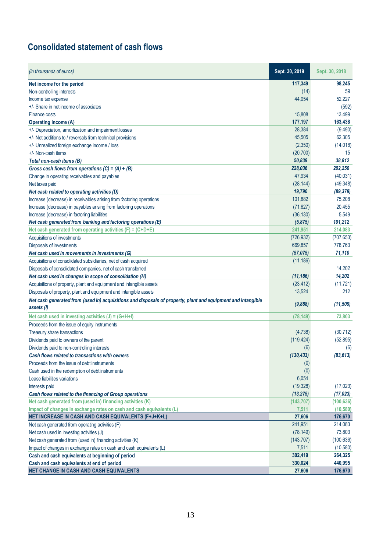### <span id="page-12-0"></span>**Consolidated statement of cash flows**

| (in thousands of euros)                                                                                      | Sept. 30, 2019 | Sept. 30, 2018 |
|--------------------------------------------------------------------------------------------------------------|----------------|----------------|
| Net income for the period                                                                                    | 117,349        | 98,245         |
| Non-controlling interests                                                                                    | (14)           | 59             |
| Income tax expense                                                                                           | 44,054         | 52,227         |
| +/- Share in net income of associates                                                                        |                | (592)          |
| Finance costs                                                                                                | 15,808         | 13,499         |
| Operating income (A)                                                                                         | 177,197        | 163,438        |
| +/- Depreciation, amortization and impairment losses                                                         | 28,384         | (9,490)        |
| +/- Net additions to / reversals from technical provisions                                                   | 45,505         | 62,305         |
| +/- Unrealized foreign exchange income / loss                                                                | (2,350)        | (14, 018)      |
| +/- Non-cash items                                                                                           | (20, 700)      | 15             |
| Total non-cash items (B)                                                                                     | 50,839         | 38,812         |
| Gross cash flows from operations $(C) = (A) + (B)$                                                           | 228,036        | 202,250        |
| Change in operating receivables and payables                                                                 | 47,934         | (40,031)       |
| Net taxes paid                                                                                               | (28, 144)      | (49, 348)      |
| Net cash related to operating activities (D)                                                                 | 19,790         | (89, 379)      |
| Increase (decrease) in receivables arising from factoring operations                                         | 101,882        | 75,208         |
| Increase (decrease) in payables arising from factoring operations                                            | (71, 627)      | 20,455         |
| Increase (decrease) in factoring liabilities                                                                 | (36, 130)      | 5,549          |
| Net cash generated from banking and factoring operations (E)                                                 | (5, 875)       | 101,212        |
| Net cash generated from operating activities $(F) = (C + D + E)$                                             | 241,951        | 214,083        |
| Acquisitions of investments                                                                                  | (726, 932)     | (707, 653)     |
| Disposals of investments                                                                                     | 669,857        | 778,763        |
| Net cash used in movements in investments (G)                                                                | (57, 075)      | 71,110         |
| Acquisitions of consolidated subsidiaries, net of cash acquired                                              | (11, 186)      |                |
| Disposals of consolidated companies, net of cash transferred                                                 |                | 14,202         |
| Net cash used in changes in scope of consolidation (H)                                                       | (11, 186)      | 14,202         |
| Acquisitions of property, plant and equipment and intangible assets                                          | (23, 412)      | (11, 721)      |
| Disposals of property, plant and equipment and intangible assets                                             | 13,524         | 212            |
| Net cash generated from (used in) acquisitions and disposals of property, plant and equipment and intangible |                |                |
| assets (I)                                                                                                   | (9,888)        | (11, 509)      |
| Net cash used in investing activities $(J) = (G+H+I)$                                                        | (78,149)       | 73,803         |
| Proceeds from the issue of equity instruments                                                                |                |                |
| Treasury share transactions                                                                                  | (4,738)        | (30, 712)      |
| Dividends paid to owners of the parent                                                                       | (119, 424)     | (52, 895)      |
| Dividends paid to non-controlling interests                                                                  | (6)            | (6)            |
| Cash flows related to transactions with owners                                                               | (130, 433)     | (83, 613)      |
| Proceeds from the issue of debt instruments                                                                  | (0)            |                |
| Cash used in the redemption of debt instruments                                                              | (0)            |                |
| Lease liabilities variations                                                                                 | 6,054          |                |
| Interests paid                                                                                               | (19, 328)      | (17, 023)      |
| Cash flows related to the financing of Group operations                                                      | (13, 275)      | (17, 023)      |
| Net cash generated from (used in) financing activities (K)                                                   | (143, 707)     | (100, 636)     |
| Impact of changes in exchange rates on cash and cash equivalents (L)                                         | 7,511          | (10, 580)      |
| NET INCREASE IN CASH AND CASH EQUIVALENTS (F+J+K+L)                                                          | 27,606         | 176,670        |
| Net cash generated from operating activities (F)                                                             | 241,951        | 214,083        |
| Net cash used in investing activities (J)                                                                    | (78, 149)      | 73,803         |
| Net cash generated from (used in) financing activities (K)                                                   | (143, 707)     | (100, 636)     |
| Impact of changes in exchange rates on cash and cash equivalents (L)                                         | 7,511          | (10, 580)      |
| Cash and cash equivalents at beginning of period                                                             | 302,419        | 264,325        |
| Cash and cash equivalents at end of period                                                                   | 330,024        | 440,995        |
| NET CHANGE IN CASH AND CASH EQUIVALENTS                                                                      | 27,606         | 176,670        |